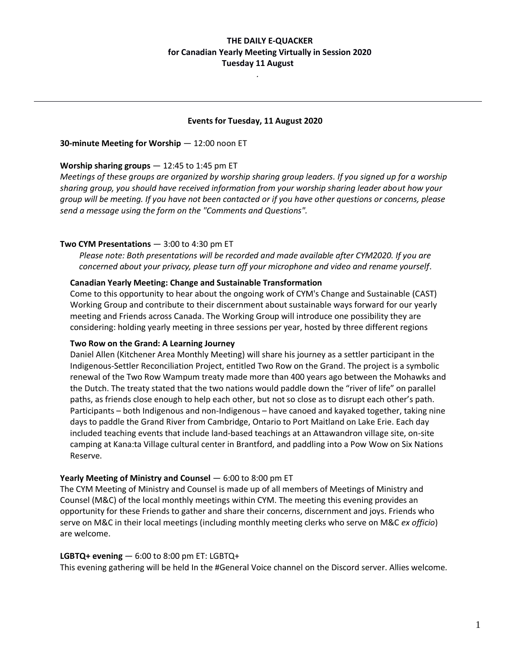# **THE DAILY E-QUACKER for Canadian Yearly Meeting Virtually in Session 2020 Tuesday 11 August**

### **Events for Tuesday, 11 August 2020**

*.*

**30-minute Meeting for Worship** — 12:00 noon ET

### **Worship sharing groups** — 12:45 to 1:45 pm ET

*Meetings of these groups are organized by worship sharing group leaders. If you signed up for a worship sharing group, you should have received information from your worship sharing leader about how your group will be meeting. If you have not been contacted or if you have other questions or concerns, please send a message using the form on the "Comments and Questions".*

### **Two CYM Presentations** — 3:00 to 4:30 pm ET

*Please note: Both presentations will be recorded and made available after CYM2020. If you are concerned about your privacy, please turn off your microphone and video and rename yourself*.

### **Canadian Yearly Meeting: Change and Sustainable Transformation**

Come to this opportunity to hear about the ongoing work of CYM's Change and Sustainable (CAST) Working Group and contribute to their discernment about sustainable ways forward for our yearly meeting and Friends across Canada. The Working Group will introduce one possibility they are considering: holding yearly meeting in three sessions per year, hosted by three different regions

### **Two Row on the Grand: A Learning Journey**

Daniel Allen (Kitchener Area Monthly Meeting) will share his journey as a settler participant in the Indigenous-Settler Reconciliation Project, entitled Two Row on the Grand. The project is a symbolic renewal of the Two Row Wampum treaty made more than 400 years ago between the Mohawks and the Dutch. The treaty stated that the two nations would paddle down the "river of life" on parallel paths, as friends close enough to help each other, but not so close as to disrupt each other's path. Participants – both Indigenous and non-Indigenous – have canoed and kayaked together, taking nine days to paddle the Grand River from Cambridge, Ontario to Port Maitland on Lake Erie. Each day included teaching events that include land-based teachings at an Attawandron village site, on-site camping at Kana:ta Village cultural center in Brantford, and paddling into a Pow Wow on Six Nations Reserve.

## **Yearly Meeting of Ministry and Counsel – 6:00 to 8:00 pm ET**

The CYM Meeting of Ministry and Counsel is made up of all members of Meetings of Ministry and Counsel (M&C) of the local monthly meetings within CYM. The meeting this evening provides an opportunity for these Friends to gather and share their concerns, discernment and joys. Friends who serve on M&C in their local meetings (including monthly meeting clerks who serve on M&C *ex officio*) are welcome.

#### **LGBTQ+ evening** — 6:00 to 8:00 pm ET: LGBTQ+

This evening gathering will be held In the #General Voice channel on the Discord server. Allies welcome.